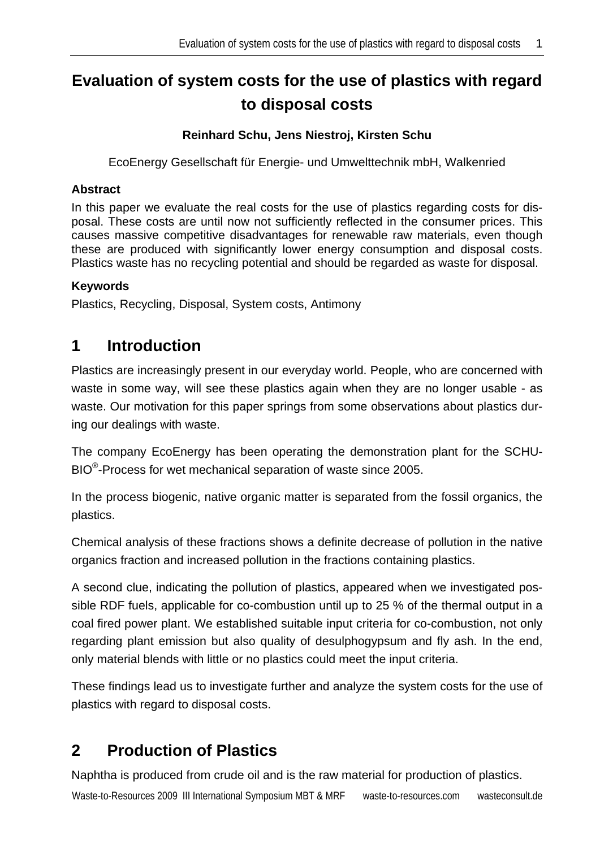# **Evaluation of system costs for the use of plastics with regard to disposal costs**

#### **Reinhard Schu, Jens Niestroj, Kirsten Schu**

EcoEnergy Gesellschaft für Energie- und Umwelttechnik mbH, Walkenried

#### **Abstract**

In this paper we evaluate the real costs for the use of plastics regarding costs for disposal. These costs are until now not sufficiently reflected in the consumer prices. This causes massive competitive disadvantages for renewable raw materials, even though these are produced with significantly lower energy consumption and disposal costs. Plastics waste has no recycling potential and should be regarded as waste for disposal.

#### **Keywords**

Plastics, Recycling, Disposal, System costs, Antimony

## **1 Introduction**

Plastics are increasingly present in our everyday world. People, who are concerned with waste in some way, will see these plastics again when they are no longer usable - as waste. Our motivation for this paper springs from some observations about plastics during our dealings with waste.

The company EcoEnergy has been operating the demonstration plant for the SCHU-BIO®-Process for wet mechanical separation of waste since 2005.

In the process biogenic, native organic matter is separated from the fossil organics, the plastics.

Chemical analysis of these fractions shows a definite decrease of pollution in the native organics fraction and increased pollution in the fractions containing plastics.

A second clue, indicating the pollution of plastics, appeared when we investigated possible RDF fuels, applicable for co-combustion until up to 25 % of the thermal output in a coal fired power plant. We established suitable input criteria for co-combustion, not only regarding plant emission but also quality of desulphogypsum and fly ash. In the end, only material blends with little or no plastics could meet the input criteria.

These findings lead us to investigate further and analyze the system costs for the use of plastics with regard to disposal costs.

## **2 Production of Plastics**

Naphtha is produced from crude oil and is the raw material for production of plastics.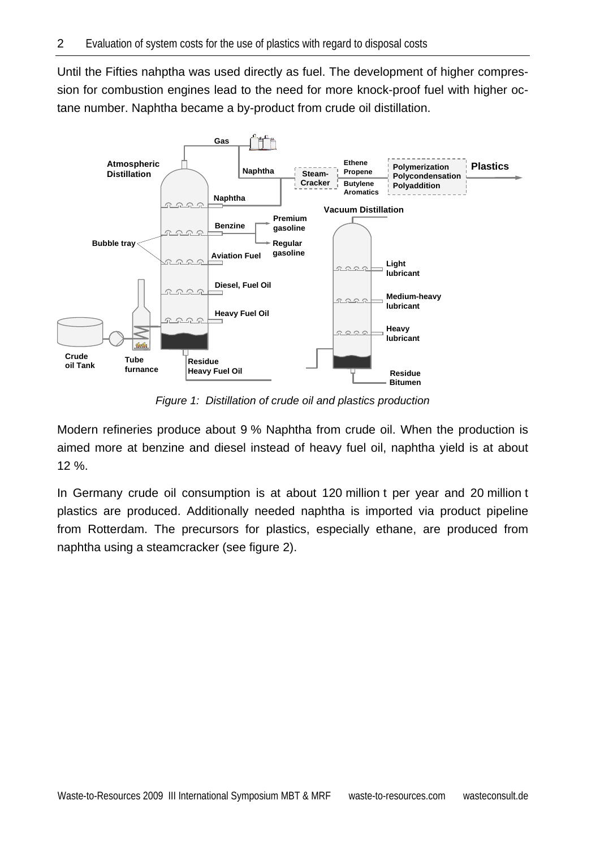Until the Fifties nahptha was used directly as fuel. The development of higher compression for combustion engines lead to the need for more knock-proof fuel with higher octane number. Naphtha became a by-product from crude oil distillation.



*Figure 1: Distillation of crude oil and plastics production* 

Modern refineries produce about 9 % Naphtha from crude oil. When the production is aimed more at benzine and diesel instead of heavy fuel oil, naphtha yield is at about 12 %.

In Germany crude oil consumption is at about 120 million t per year and 20 million t plastics are produced. Additionally needed naphtha is imported via product pipeline from Rotterdam. The precursors for plastics, especially ethane, are produced from naphtha using a steamcracker (see figure 2).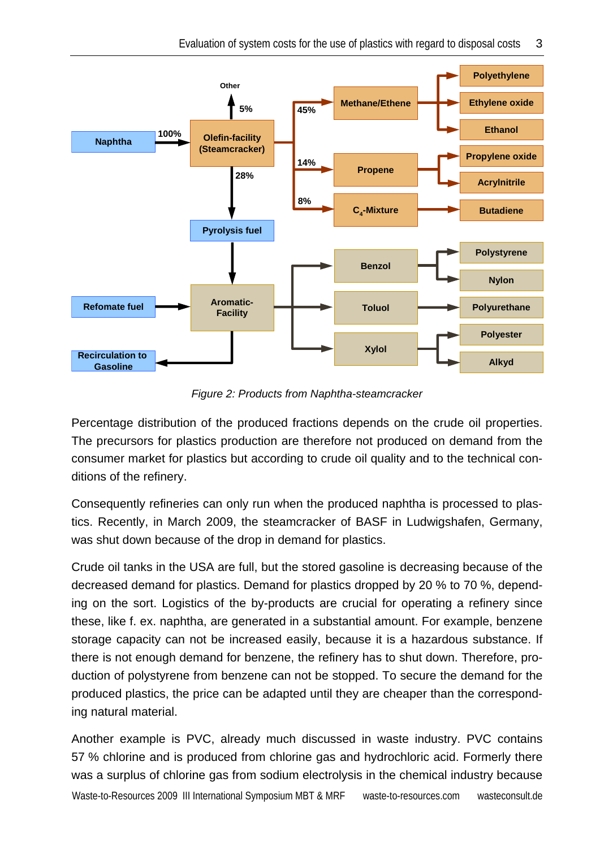

*Figure 2: Products from Naphtha-steamcracker* 

Percentage distribution of the produced fractions depends on the crude oil properties. The precursors for plastics production are therefore not produced on demand from the consumer market for plastics but according to crude oil quality and to the technical conditions of the refinery.

Consequently refineries can only run when the produced naphtha is processed to plastics. Recently, in March 2009, the steamcracker of BASF in Ludwigshafen, Germany, was shut down because of the drop in demand for plastics.

Crude oil tanks in the USA are full, but the stored gasoline is decreasing because of the decreased demand for plastics. Demand for plastics dropped by 20 % to 70 %, depending on the sort. Logistics of the by-products are crucial for operating a refinery since these, like f. ex. naphtha, are generated in a substantial amount. For example, benzene storage capacity can not be increased easily, because it is a hazardous substance. If there is not enough demand for benzene, the refinery has to shut down. Therefore, production of polystyrene from benzene can not be stopped. To secure the demand for the produced plastics, the price can be adapted until they are cheaper than the corresponding natural material.

Waste-to-Resources 2009 III International Symposium MBT & MRF waste-to-resources.com wasteconsult.de Another example is PVC, already much discussed in waste industry. PVC contains 57 % chlorine and is produced from chlorine gas and hydrochloric acid. Formerly there was a surplus of chlorine gas from sodium electrolysis in the chemical industry because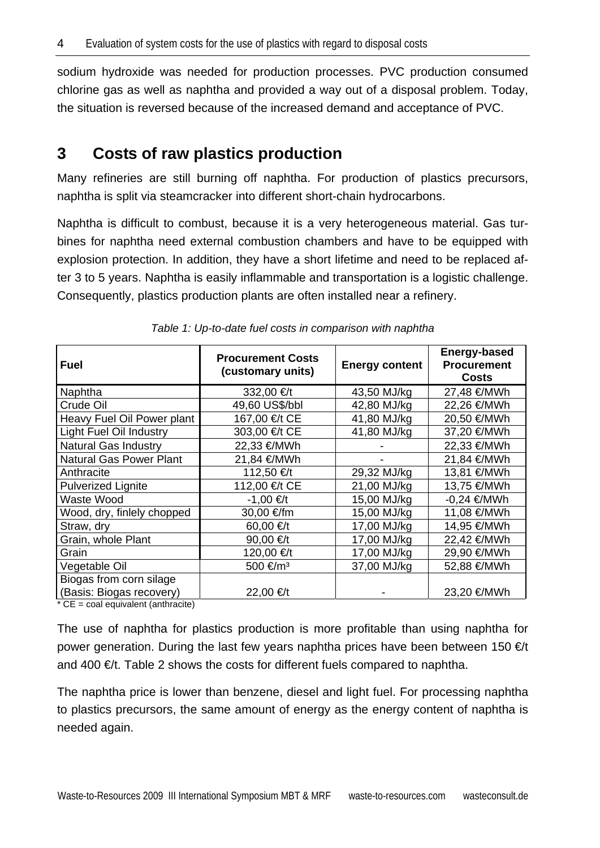sodium hydroxide was needed for production processes. PVC production consumed chlorine gas as well as naphtha and provided a way out of a disposal problem. Today, the situation is reversed because of the increased demand and acceptance of PVC.

## **3 Costs of raw plastics production**

Many refineries are still burning off naphtha. For production of plastics precursors, naphtha is split via steamcracker into different short-chain hydrocarbons.

Naphtha is difficult to combust, because it is a very heterogeneous material. Gas turbines for naphtha need external combustion chambers and have to be equipped with explosion protection. In addition, they have a short lifetime and need to be replaced after 3 to 5 years. Naphtha is easily inflammable and transportation is a logistic challenge. Consequently, plastics production plants are often installed near a refinery.

| <b>Fuel</b>                    | <b>Procurement Costs</b><br>(customary units) | <b>Energy content</b> | <b>Energy-based</b><br><b>Procurement</b><br><b>Costs</b> |
|--------------------------------|-----------------------------------------------|-----------------------|-----------------------------------------------------------|
| Naphtha                        | 332,00 €/t                                    | 43,50 MJ/kg           | 27,48 €/MWh                                               |
| Crude Oil                      | 49,60 US\$/bbl                                | 42,80 MJ/kg           | 22,26 €/MWh                                               |
| Heavy Fuel Oil Power plant     | 167,00 €/t CE                                 | 41,80 MJ/kg           | 20,50 €/MWh                                               |
| <b>Light Fuel Oil Industry</b> | 303,00 €/t CE                                 | 41,80 MJ/kg           | 37,20 €/MWh                                               |
| <b>Natural Gas Industry</b>    | 22,33 €/MWh                                   |                       | 22,33 €/MWh                                               |
| <b>Natural Gas Power Plant</b> | 21,84 €/MWh                                   |                       | 21,84 €/MWh                                               |
| Anthracite                     | 112,50 €/t                                    | 29,32 MJ/kg           | 13,81 €/MWh                                               |
| <b>Pulverized Lignite</b>      | 112,00 €/t CE                                 | 21,00 MJ/kg           | 13,75 €/MWh                                               |
| Waste Wood                     | $-1,00 \in H$                                 | 15,00 MJ/kg           | $-0,24 \in MWh$                                           |
| Wood, dry, finlely chopped     | 30,00 €/fm                                    | 15,00 MJ/kg           | 11,08 €/MWh                                               |
| Straw, dry                     | 60,00 €/t                                     | 17,00 MJ/kg           | 14,95 €/MWh                                               |
| Grain, whole Plant             | 90,00 €/t                                     | 17,00 MJ/kg           | 22,42 €/MWh                                               |
| Grain                          | 120,00 €/t                                    | 17,00 MJ/kg           | 29,90 €/MWh                                               |
| Vegetable Oil                  | 500 €/m <sup>3</sup>                          | 37,00 MJ/kg           | 52,88 €/MWh                                               |
| Biogas from corn silage        |                                               |                       |                                                           |
| (Basis: Biogas recovery)       | 22,00 €/t                                     |                       | 23,20 €/MWh                                               |

*Table 1: Up-to-date fuel costs in comparison with naphtha* 

 $*$  CE = coal equivalent (anthracite)

The use of naphtha for plastics production is more profitable than using naphtha for power generation. During the last few years naphtha prices have been between 150  $\epsilon$ t and 400  $\epsilon$ t. Table 2 shows the costs for different fuels compared to naphtha.

The naphtha price is lower than benzene, diesel and light fuel. For processing naphtha to plastics precursors, the same amount of energy as the energy content of naphtha is needed again.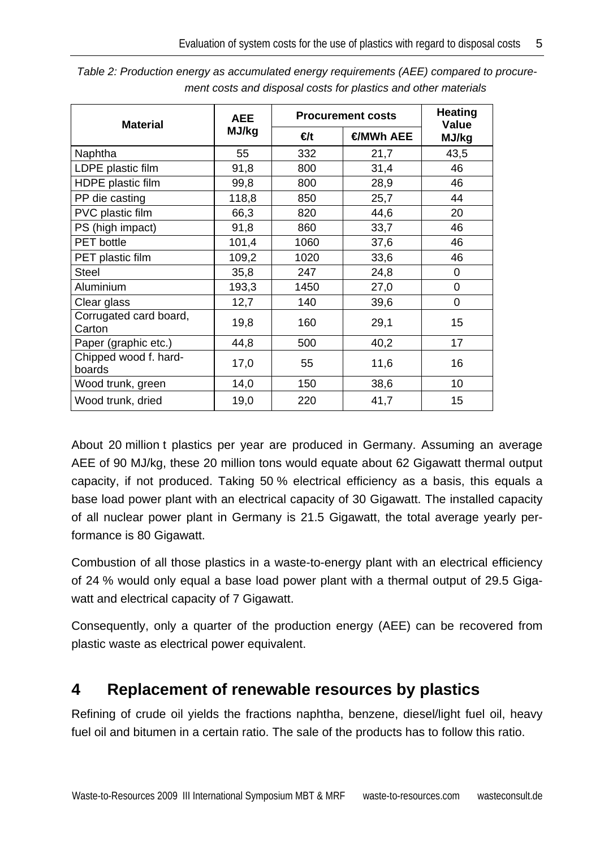| <b>Material</b>                  | <b>AEE</b> | <b>Procurement costs</b> |                 | <b>Heating</b><br><b>Value</b> |
|----------------------------------|------------|--------------------------|-----------------|--------------------------------|
|                                  | MJ/kg      | €t                       | <b>€MWh AEE</b> | MJ/kg                          |
| Naphtha                          | 55         | 332                      | 21,7            | 43,5                           |
| LDPE plastic film                | 91,8       | 800                      | 31,4            | 46                             |
| HDPE plastic film                | 99,8       | 800                      | 28,9            | 46                             |
| PP die casting                   | 118,8      | 850                      | 25,7            | 44                             |
| PVC plastic film                 | 66,3       | 820                      | 44,6            | 20                             |
| PS (high impact)                 | 91,8       | 860                      | 33,7            | 46                             |
| <b>PET</b> bottle                | 101,4      | 1060                     | 37,6            | 46                             |
| PET plastic film                 | 109,2      | 1020                     | 33,6            | 46                             |
| <b>Steel</b>                     | 35,8       | 247                      | 24,8            | 0                              |
| Aluminium                        | 193,3      | 1450                     | 27,0            | 0                              |
| Clear glass                      | 12,7       | 140                      | 39,6            | $\overline{0}$                 |
| Corrugated card board,<br>Carton | 19,8       | 160                      | 29,1            | 15                             |
| Paper (graphic etc.)             | 44,8       | 500                      | 40,2            | 17                             |
| Chipped wood f. hard-<br>boards  | 17,0       | 55                       | 11,6            | 16                             |
| Wood trunk, green                | 14,0       | 150                      | 38,6            | 10                             |
| Wood trunk, dried                | 19,0       | 220                      | 41,7            | 15                             |

*Table 2: Production energy as accumulated energy requirements (AEE) compared to procurement costs and disposal costs for plastics and other materials* 

About 20 million t plastics per year are produced in Germany. Assuming an average AEE of 90 MJ/kg, these 20 million tons would equate about 62 Gigawatt thermal output capacity, if not produced. Taking 50 % electrical efficiency as a basis, this equals a base load power plant with an electrical capacity of 30 Gigawatt. The installed capacity of all nuclear power plant in Germany is 21.5 Gigawatt, the total average yearly performance is 80 Gigawatt.

Combustion of all those plastics in a waste-to-energy plant with an electrical efficiency of 24 % would only equal a base load power plant with a thermal output of 29.5 Gigawatt and electrical capacity of 7 Gigawatt.

Consequently, only a quarter of the production energy (AEE) can be recovered from plastic waste as electrical power equivalent.

## **4 Replacement of renewable resources by plastics**

Refining of crude oil yields the fractions naphtha, benzene, diesel/light fuel oil, heavy fuel oil and bitumen in a certain ratio. The sale of the products has to follow this ratio.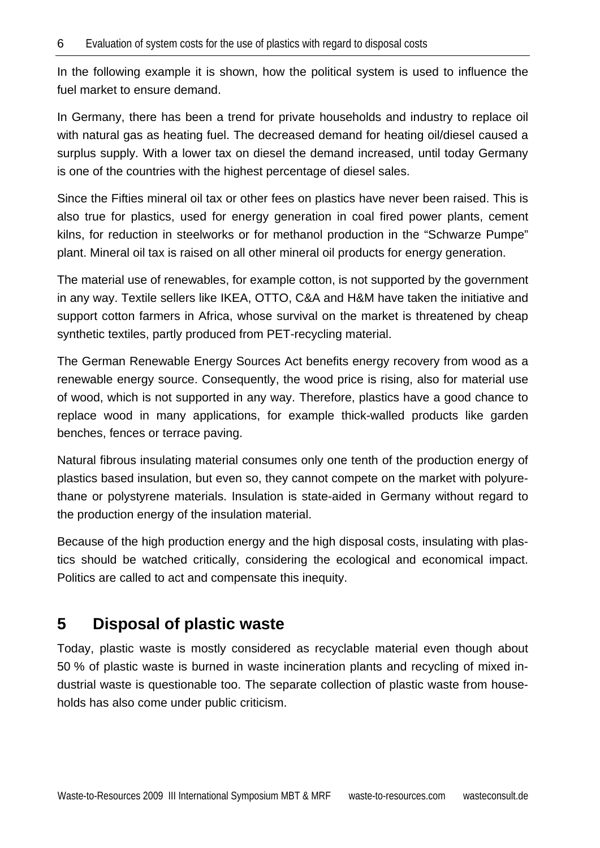In the following example it is shown, how the political system is used to influence the fuel market to ensure demand.

In Germany, there has been a trend for private households and industry to replace oil with natural gas as heating fuel. The decreased demand for heating oil/diesel caused a surplus supply. With a lower tax on diesel the demand increased, until today Germany is one of the countries with the highest percentage of diesel sales.

Since the Fifties mineral oil tax or other fees on plastics have never been raised. This is also true for plastics, used for energy generation in coal fired power plants, cement kilns, for reduction in steelworks or for methanol production in the "Schwarze Pumpe" plant. Mineral oil tax is raised on all other mineral oil products for energy generation.

The material use of renewables, for example cotton, is not supported by the government in any way. Textile sellers like IKEA, OTTO, C&A and H&M have taken the initiative and support cotton farmers in Africa, whose survival on the market is threatened by cheap synthetic textiles, partly produced from PET-recycling material.

The German Renewable Energy Sources Act benefits energy recovery from wood as a renewable energy source. Consequently, the wood price is rising, also for material use of wood, which is not supported in any way. Therefore, plastics have a good chance to replace wood in many applications, for example thick-walled products like garden benches, fences or terrace paving.

Natural fibrous insulating material consumes only one tenth of the production energy of plastics based insulation, but even so, they cannot compete on the market with polyurethane or polystyrene materials. Insulation is state-aided in Germany without regard to the production energy of the insulation material.

Because of the high production energy and the high disposal costs, insulating with plastics should be watched critically, considering the ecological and economical impact. Politics are called to act and compensate this inequity.

## **5 Disposal of plastic waste**

Today, plastic waste is mostly considered as recyclable material even though about 50 % of plastic waste is burned in waste incineration plants and recycling of mixed industrial waste is questionable too. The separate collection of plastic waste from households has also come under public criticism.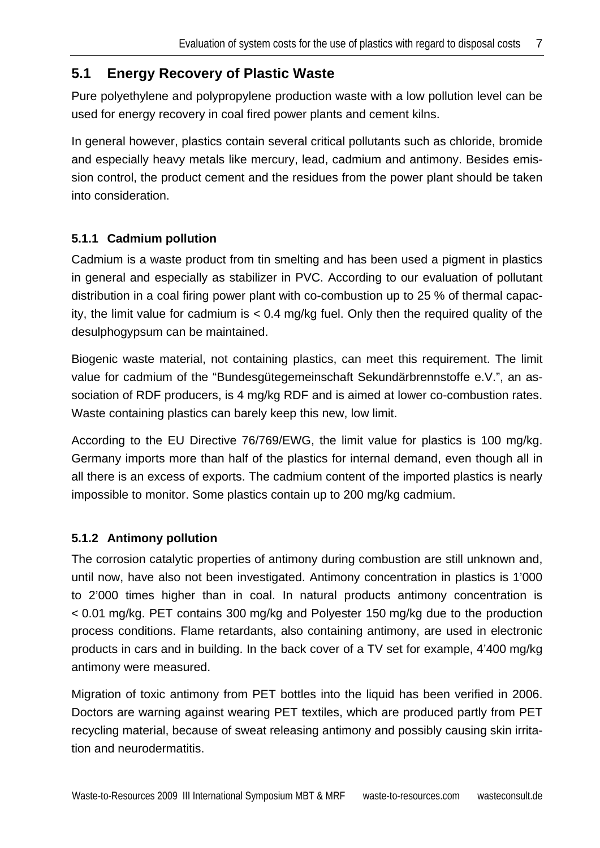### **5.1 Energy Recovery of Plastic Waste**

Pure polyethylene and polypropylene production waste with a low pollution level can be used for energy recovery in coal fired power plants and cement kilns.

In general however, plastics contain several critical pollutants such as chloride, bromide and especially heavy metals like mercury, lead, cadmium and antimony. Besides emission control, the product cement and the residues from the power plant should be taken into consideration.

#### **5.1.1 Cadmium pollution**

Cadmium is a waste product from tin smelting and has been used a pigment in plastics in general and especially as stabilizer in PVC. According to our evaluation of pollutant distribution in a coal firing power plant with co-combustion up to 25 % of thermal capacity, the limit value for cadmium is < 0.4 mg/kg fuel. Only then the required quality of the desulphogypsum can be maintained.

Biogenic waste material, not containing plastics, can meet this requirement. The limit value for cadmium of the "Bundesgütegemeinschaft Sekundärbrennstoffe e.V.", an association of RDF producers, is 4 mg/kg RDF and is aimed at lower co-combustion rates. Waste containing plastics can barely keep this new, low limit.

According to the EU Directive 76/769/EWG, the limit value for plastics is 100 mg/kg. Germany imports more than half of the plastics for internal demand, even though all in all there is an excess of exports. The cadmium content of the imported plastics is nearly impossible to monitor. Some plastics contain up to 200 mg/kg cadmium.

#### **5.1.2 Antimony pollution**

The corrosion catalytic properties of antimony during combustion are still unknown and, until now, have also not been investigated. Antimony concentration in plastics is 1'000 to 2'000 times higher than in coal. In natural products antimony concentration is < 0.01 mg/kg. PET contains 300 mg/kg and Polyester 150 mg/kg due to the production process conditions. Flame retardants, also containing antimony, are used in electronic products in cars and in building. In the back cover of a TV set for example, 4'400 mg/kg antimony were measured.

Migration of toxic antimony from PET bottles into the liquid has been verified in 2006. Doctors are warning against wearing PET textiles, which are produced partly from PET recycling material, because of sweat releasing antimony and possibly causing skin irritation and neurodermatitis.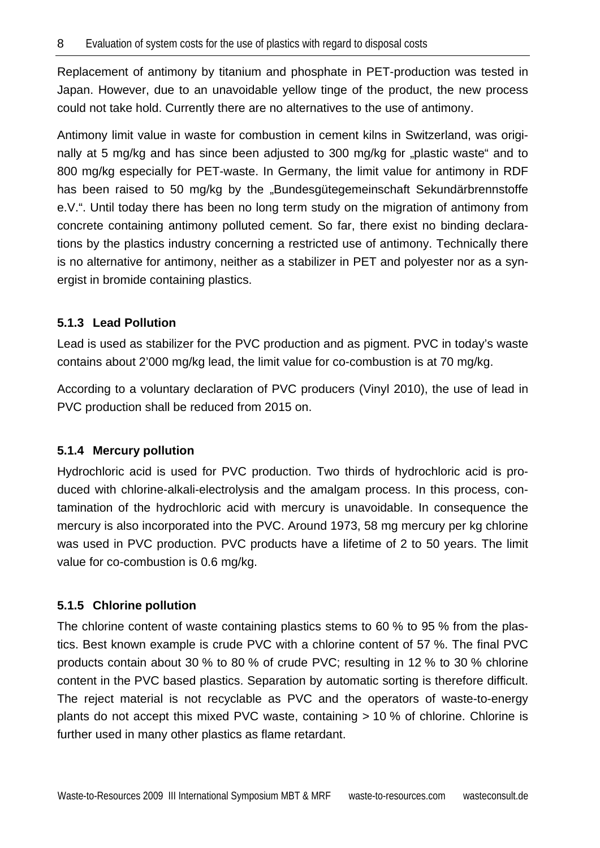Replacement of antimony by titanium and phosphate in PET-production was tested in Japan. However, due to an unavoidable yellow tinge of the product, the new process could not take hold. Currently there are no alternatives to the use of antimony.

Antimony limit value in waste for combustion in cement kilns in Switzerland, was originally at 5 mg/kg and has since been adjusted to 300 mg/kg for "plastic waste" and to 800 mg/kg especially for PET-waste. In Germany, the limit value for antimony in RDF has been raised to 50 mg/kg by the "Bundesgütegemeinschaft Sekundärbrennstoffe e.V.". Until today there has been no long term study on the migration of antimony from concrete containing antimony polluted cement. So far, there exist no binding declarations by the plastics industry concerning a restricted use of antimony. Technically there is no alternative for antimony, neither as a stabilizer in PET and polyester nor as a synergist in bromide containing plastics.

#### **5.1.3 Lead Pollution**

Lead is used as stabilizer for the PVC production and as pigment. PVC in today's waste contains about 2'000 mg/kg lead, the limit value for co-combustion is at 70 mg/kg.

According to a voluntary declaration of PVC producers (Vinyl 2010), the use of lead in PVC production shall be reduced from 2015 on.

#### **5.1.4 Mercury pollution**

Hydrochloric acid is used for PVC production. Two thirds of hydrochloric acid is produced with chlorine-alkali-electrolysis and the amalgam process. In this process, contamination of the hydrochloric acid with mercury is unavoidable. In consequence the mercury is also incorporated into the PVC. Around 1973, 58 mg mercury per kg chlorine was used in PVC production. PVC products have a lifetime of 2 to 50 years. The limit value for co-combustion is 0.6 mg/kg.

#### **5.1.5 Chlorine pollution**

The chlorine content of waste containing plastics stems to 60 % to 95 % from the plastics. Best known example is crude PVC with a chlorine content of 57 %. The final PVC products contain about 30 % to 80 % of crude PVC; resulting in 12 % to 30 % chlorine content in the PVC based plastics. Separation by automatic sorting is therefore difficult. The reject material is not recyclable as PVC and the operators of waste-to-energy plants do not accept this mixed PVC waste, containing > 10 % of chlorine. Chlorine is further used in many other plastics as flame retardant.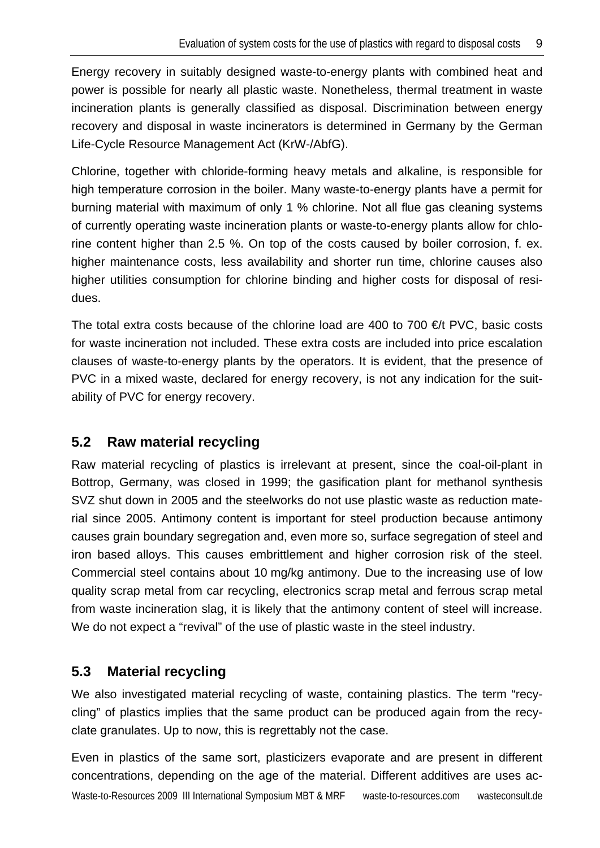Energy recovery in suitably designed waste-to-energy plants with combined heat and power is possible for nearly all plastic waste. Nonetheless, thermal treatment in waste incineration plants is generally classified as disposal. Discrimination between energy recovery and disposal in waste incinerators is determined in Germany by the German Life-Cycle Resource Management Act (KrW-/AbfG).

Chlorine, together with chloride-forming heavy metals and alkaline, is responsible for high temperature corrosion in the boiler. Many waste-to-energy plants have a permit for burning material with maximum of only 1 % chlorine. Not all flue gas cleaning systems of currently operating waste incineration plants or waste-to-energy plants allow for chlorine content higher than 2.5 %. On top of the costs caused by boiler corrosion, f. ex. higher maintenance costs, less availability and shorter run time, chlorine causes also higher utilities consumption for chlorine binding and higher costs for disposal of residues.

The total extra costs because of the chlorine load are 400 to 700  $\epsilon$ t PVC, basic costs for waste incineration not included. These extra costs are included into price escalation clauses of waste-to-energy plants by the operators. It is evident, that the presence of PVC in a mixed waste, declared for energy recovery, is not any indication for the suitability of PVC for energy recovery.

### **5.2 Raw material recycling**

Raw material recycling of plastics is irrelevant at present, since the coal-oil-plant in Bottrop, Germany, was closed in 1999; the gasification plant for methanol synthesis SVZ shut down in 2005 and the steelworks do not use plastic waste as reduction material since 2005. Antimony content is important for steel production because antimony causes grain boundary segregation and, even more so, surface segregation of steel and iron based alloys. This causes embrittlement and higher corrosion risk of the steel. Commercial steel contains about 10 mg/kg antimony. Due to the increasing use of low quality scrap metal from car recycling, electronics scrap metal and ferrous scrap metal from waste incineration slag, it is likely that the antimony content of steel will increase. We do not expect a "revival" of the use of plastic waste in the steel industry.

### **5.3 Material recycling**

We also investigated material recycling of waste, containing plastics. The term "recycling" of plastics implies that the same product can be produced again from the recyclate granulates. Up to now, this is regrettably not the case.

Waste-to-Resources 2009 III International Symposium MBT & MRF waste-to-resources.com wasteconsult.de Even in plastics of the same sort, plasticizers evaporate and are present in different concentrations, depending on the age of the material. Different additives are uses ac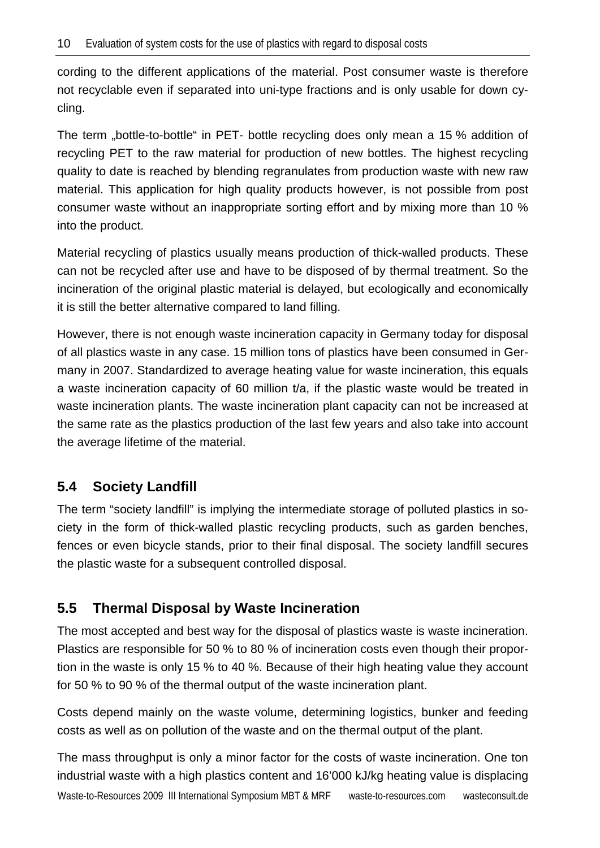cording to the different applications of the material. Post consumer waste is therefore not recyclable even if separated into uni-type fractions and is only usable for down cycling.

The term "bottle-to-bottle" in PET- bottle recycling does only mean a 15 % addition of recycling PET to the raw material for production of new bottles. The highest recycling quality to date is reached by blending regranulates from production waste with new raw material. This application for high quality products however, is not possible from post consumer waste without an inappropriate sorting effort and by mixing more than 10 % into the product.

Material recycling of plastics usually means production of thick-walled products. These can not be recycled after use and have to be disposed of by thermal treatment. So the incineration of the original plastic material is delayed, but ecologically and economically it is still the better alternative compared to land filling.

However, there is not enough waste incineration capacity in Germany today for disposal of all plastics waste in any case. 15 million tons of plastics have been consumed in Germany in 2007. Standardized to average heating value for waste incineration, this equals a waste incineration capacity of 60 million t/a, if the plastic waste would be treated in waste incineration plants. The waste incineration plant capacity can not be increased at the same rate as the plastics production of the last few years and also take into account the average lifetime of the material.

### **5.4 Society Landfill**

The term "society landfill" is implying the intermediate storage of polluted plastics in society in the form of thick-walled plastic recycling products, such as garden benches, fences or even bicycle stands, prior to their final disposal. The society landfill secures the plastic waste for a subsequent controlled disposal.

### **5.5 Thermal Disposal by Waste Incineration**

The most accepted and best way for the disposal of plastics waste is waste incineration. Plastics are responsible for 50 % to 80 % of incineration costs even though their proportion in the waste is only 15 % to 40 %. Because of their high heating value they account for 50 % to 90 % of the thermal output of the waste incineration plant.

Costs depend mainly on the waste volume, determining logistics, bunker and feeding costs as well as on pollution of the waste and on the thermal output of the plant.

Waste-to-Resources 2009 III International Symposium MBT & MRF waste-to-resources.com wasteconsult.de The mass throughput is only a minor factor for the costs of waste incineration. One ton industrial waste with a high plastics content and 16'000 kJ/kg heating value is displacing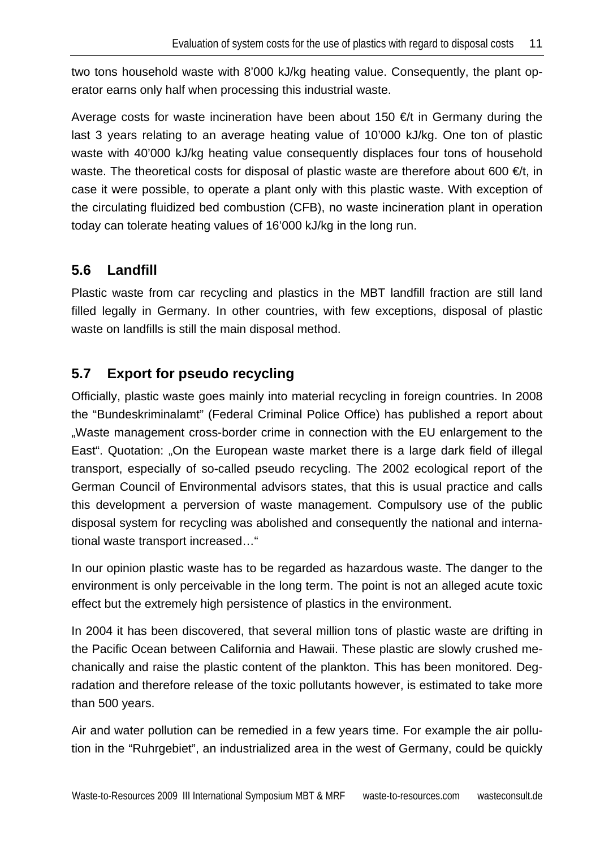two tons household waste with 8'000 kJ/kg heating value. Consequently, the plant operator earns only half when processing this industrial waste.

Average costs for waste incineration have been about 150  $\epsilon$  in Germany during the last 3 years relating to an average heating value of 10'000 kJ/kg. One ton of plastic waste with 40'000 kJ/kg heating value consequently displaces four tons of household waste. The theoretical costs for disposal of plastic waste are therefore about 600  $\in$ /t, in case it were possible, to operate a plant only with this plastic waste. With exception of the circulating fluidized bed combustion (CFB), no waste incineration plant in operation today can tolerate heating values of 16'000 kJ/kg in the long run.

### **5.6 Landfill**

Plastic waste from car recycling and plastics in the MBT landfill fraction are still land filled legally in Germany. In other countries, with few exceptions, disposal of plastic waste on landfills is still the main disposal method.

### **5.7 Export for pseudo recycling**

Officially, plastic waste goes mainly into material recycling in foreign countries. In 2008 the "Bundeskriminalamt" (Federal Criminal Police Office) has published a report about "Waste management cross-border crime in connection with the EU enlargement to the East". Quotation: "On the European waste market there is a large dark field of illegal transport, especially of so-called pseudo recycling. The 2002 ecological report of the German Council of Environmental advisors states, that this is usual practice and calls this development a perversion of waste management. Compulsory use of the public disposal system for recycling was abolished and consequently the national and international waste transport increased…"

In our opinion plastic waste has to be regarded as hazardous waste. The danger to the environment is only perceivable in the long term. The point is not an alleged acute toxic effect but the extremely high persistence of plastics in the environment.

In 2004 it has been discovered, that several million tons of plastic waste are drifting in the Pacific Ocean between California and Hawaii. These plastic are slowly crushed mechanically and raise the plastic content of the plankton. This has been monitored. Degradation and therefore release of the toxic pollutants however, is estimated to take more than 500 years.

Air and water pollution can be remedied in a few years time. For example the air pollution in the "Ruhrgebiet", an industrialized area in the west of Germany, could be quickly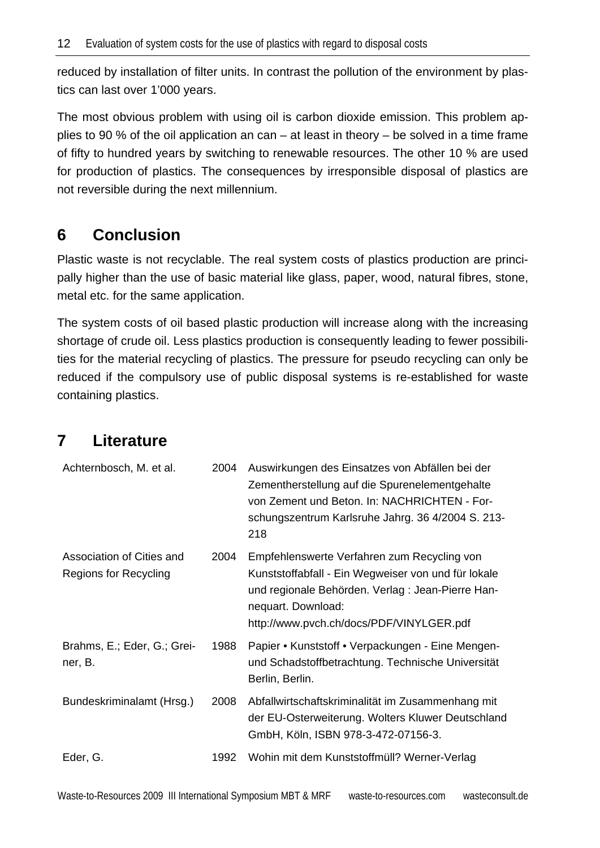reduced by installation of filter units. In contrast the pollution of the environment by plastics can last over 1'000 years.

The most obvious problem with using oil is carbon dioxide emission. This problem applies to 90 % of the oil application an can – at least in theory – be solved in a time frame of fifty to hundred years by switching to renewable resources. The other 10 % are used for production of plastics. The consequences by irresponsible disposal of plastics are not reversible during the next millennium.

## **6 Conclusion**

Plastic waste is not recyclable. The real system costs of plastics production are principally higher than the use of basic material like glass, paper, wood, natural fibres, stone, metal etc. for the same application.

The system costs of oil based plastic production will increase along with the increasing shortage of crude oil. Less plastics production is consequently leading to fewer possibilities for the material recycling of plastics. The pressure for pseudo recycling can only be reduced if the compulsory use of public disposal systems is re-established for waste containing plastics.

## **7 Literature**

| Achternbosch, M. et al.                            | 2004 | Auswirkungen des Einsatzes von Abfällen bei der<br>Zementherstellung auf die Spurenelementgehalte<br>von Zement und Beton. In: NACHRICHTEN - For-<br>schungszentrum Karlsruhe Jahrg. 36 4/2004 S. 213-<br>218             |
|----------------------------------------------------|------|---------------------------------------------------------------------------------------------------------------------------------------------------------------------------------------------------------------------------|
| Association of Cities and<br>Regions for Recycling | 2004 | Empfehlenswerte Verfahren zum Recycling von<br>Kunststoffabfall - Ein Wegweiser von und für lokale<br>und regionale Behörden. Verlag : Jean-Pierre Han-<br>nequart. Download:<br>http://www.pvch.ch/docs/PDF/VINYLGER.pdf |
| Brahms, E.; Eder, G.; Grei-<br>ner, B.             | 1988 | Papier • Kunststoff • Verpackungen - Eine Mengen-<br>und Schadstoffbetrachtung. Technische Universität<br>Berlin, Berlin.                                                                                                 |
| Bundeskriminalamt (Hrsg.)                          | 2008 | Abfallwirtschaftskriminalität im Zusammenhang mit<br>der EU-Osterweiterung. Wolters Kluwer Deutschland<br>GmbH, Köln, ISBN 978-3-472-07156-3.                                                                             |
| Eder, G.                                           | 1992 | Wohin mit dem Kunststoffmüll? Werner-Verlag                                                                                                                                                                               |